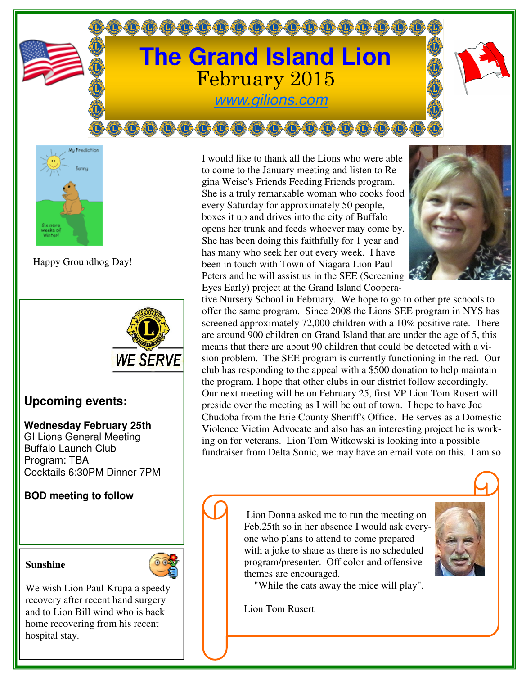## **The Grand Island Lion** February 2015 www.gilions.com

0.0.0.0.0.0.0.0.0.0.0.0.0.0.0

**@@@@@@@@@@@@@@** 



Happy Groundhog Day!



## **Upcoming events:**

## **Wednesday February 25th**

GI Lions General Meeting Buffalo Launch Club Program: TBA Cocktails 6:30PM Dinner 7PM

## **BOD meeting to follow**

**Sunshine** 



We wish Lion Paul Krupa a speedy recovery after recent hand surgery and to Lion Bill wind who is back home recovering from his recent hospital stay.

I would like to thank all the Lions who were able to come to the January meeting and listen to Regina Weise's Friends Feeding Friends program. She is a truly remarkable woman who cooks food every Saturday for approximately 50 people, boxes it up and drives into the city of Buffalo opens her trunk and feeds whoever may come by. She has been doing this faithfully for 1 year and has many who seek her out every week. I have been in touch with Town of Niagara Lion Paul Peters and he will assist us in the SEE (Screening Eyes Early) project at the Grand Island Coopera-



tive Nursery School in February. We hope to go to other pre schools to offer the same program. Since 2008 the Lions SEE program in NYS has screened approximately 72,000 children with a 10% positive rate. There are around 900 children on Grand Island that are under the age of 5, this means that there are about 90 children that could be detected with a vision problem. The SEE program is currently functioning in the red. Our club has responding to the appeal with a \$500 donation to help maintain the program. I hope that other clubs in our district follow accordingly. Our next meeting will be on February 25, first VP Lion Tom Rusert will preside over the meeting as I will be out of town. I hope to have Joe Chudoba from the Erie County Sheriff's Office. He serves as a Domestic Violence Victim Advocate and also has an interesting project he is working on for veterans. Lion Tom Witkowski is looking into a possible fundraiser from Delta Sonic, we may have an email vote on this. I am so

> Lion Donna asked me to run the meeting on Feb.25th so in her absence I would ask everyone who plans to attend to come prepared with a joke to share as there is no scheduled program/presenter. Off color and offensive themes are encouraged.

"While the cats away the mice will play".

Lion Tom Rusert